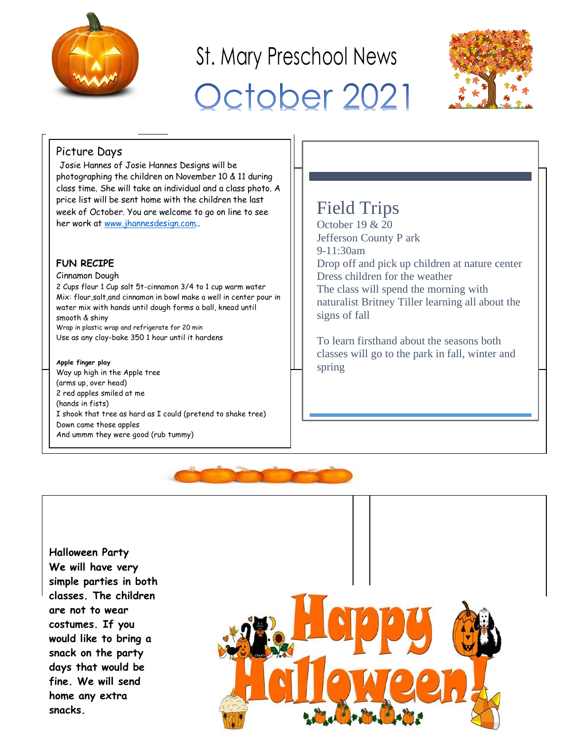

# St. Mary Preschool News October 2021



## Picture Days

Josie Hannes of Josie Hannes Designs will be photographing the children on November 10 & 11 during class time. She will take an individual and a class photo. A price list will be sent home with the children the last week of October. You are welcome to go on line to see her work at [www.jhannesdesign.com.](http://www.jhannesdesign.com/).

## **FUN RECIPE**

#### Cinnamon Dough

2 Cups flour 1 Cup salt 5t-cinnamon 3/4 to 1 cup warm water Mix: flour,salt,and cinnamon in bowl make a well in center pour in water mix with hands until dough forms a ball, knead until smooth & shiny Wrap in plastic wrap and refrigerate for 20 min Use as any clay-bake 350 1 hour until it hardens

#### **Apple finger play**

Way up high in the Apple tree (arms up, over head) 2 red apples smiled at me (hands in fists) I shook that tree as hard as I could (pretend to shake tree) Down came those apples And ummm they were good (rub tummy)

# Field Trips

October 19 & 20 Jefferson County P ark 9-11:30am Drop off and pick up children at nature center Dress children for the weather The class will spend the morning with naturalist Britney Tiller learning all about the signs of fall

To learn firsthand about the seasons both classes will go to the park in fall, winter and spring



**Halloween Party We will have very simple parties in both classes. The children are not to wear costumes. If you would like to bring a snack on the party days that would be fine. We will send home any extra snacks.**